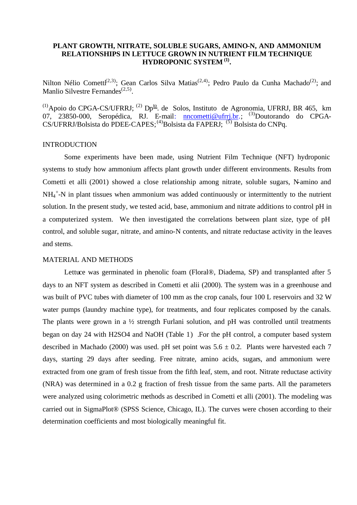# **PLANT GROWTH, NITRATE, SOLUBLE SUGARS, AMINO-N, AND AMMONIUM RELATIONSHIPS IN LETTUCE GROWN IN NUTRIENT FILM TECHNIQUE HYDROPONIC SYSTEM (1) .**

Nilton Nélio Cometti<sup>(2,3)</sup>; Gean Carlos Silva Matias<sup>(2,4)</sup>; Pedro Paulo da Cunha Machado<sup>(2)</sup>; and Manlio Silvestre Fernandes<sup>(2,5)</sup>.

 $^{(1)}$ Apoio do CPGA-CS/UFRRJ;  $^{(2)}$  Dp<sup>to</sup>. de Solos, Instituto de Agronomia, UFRRJ, BR 465, km 07, 23850-000, Seropédica, RJ. E-mail: **nncometti@ufrrj.br.**; <sup>(3)</sup>Doutorando do CPGA-CS/UFRRJ/Bolsista do PDEE-CAPES;<sup>(4)</sup>Bolsista da FAPERJ;<sup>(5)</sup> Bolsista do CNPq.

#### INTRODUCTION

Some experiments have been made, using Nutrient Film Technique (NFT) hydroponic systems to study how ammonium affects plant growth under different environments. Results from Cometti et alli (2001) showed a close relationship among nitrate, soluble sugars, N-amino and NH<sub>4</sub><sup>+</sup>-N in plant tissues when ammonium was added continuously or intermittently to the nutrient solution. In the present study, we tested acid, base, ammonium and nitrate additions to control pH in a computerized system. We then investigated the correlations between plant size, type of pH control, and soluble sugar, nitrate, and amino-N contents, and nitrate reductase activity in the leaves and stems.

# MATERIAL AND METHODS

Lettuce was germinated in phenolic foam (Floral®, Diadema, SP) and transplanted after 5 days to an NFT system as described in Cometti et alii (2000). The system was in a greenhouse and was built of PVC tubes with diameter of 100 mm as the crop canals, four 100 L reservoirs and 32 W water pumps (laundry machine type), for treatments, and four replicates composed by the canals. The plants were grown in a  $\frac{1}{2}$  strength Furlani solution, and pH was controlled until treatments began on day 24 with H2SO4 and NaOH (Table 1) .For the pH control, a computer based system described in Machado (2000) was used. pH set point was  $5.6 \pm 0.2$ . Plants were harvested each 7 days, starting 29 days after seeding. Free nitrate, amino acids, sugars, and ammonium were extracted from one gram of fresh tissue from the fifth leaf, stem, and root. Nitrate reductase activity (NRA) was determined in a 0.2 g fraction of fresh tissue from the same parts. All the parameters were analyzed using colorimetric methods as described in Cometti et alli (2001). The modeling was carried out in SigmaPlot® (SPSS Science, Chicago, IL). The curves were chosen according to their determination coefficients and most biologically meaningful fit.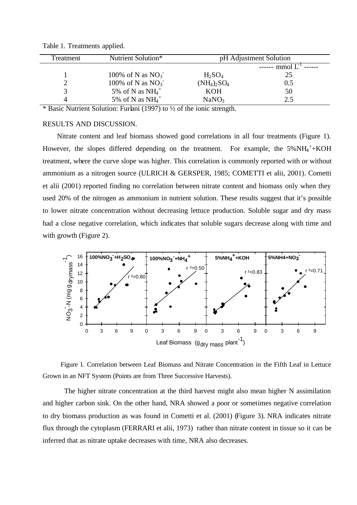| Treatment | Nutrient Solution*              | pH Adjustment Solution |               |
|-----------|---------------------------------|------------------------|---------------|
|           |                                 |                        | ------ mmol L |
|           | 100% of N as $NO3$ <sup>-</sup> | $H_2SO_4$              | 25            |
| ∽         | 100% of N as $NO3$ <sup>-</sup> | $(NH_4)_2SO_4$         | 0.5           |
| 3         | 5% of N as $NH_4$ <sup>+</sup>  | <b>KOH</b>             | 50            |
| 4         | 5% of N as $NH_4$ <sup>+</sup>  | NaNO <sub>3</sub>      | 2.5           |

Table 1. Treatments applied.

\* Basic Nutrient Solution: Furlani (1997) to ½ of the ionic strength.

### RESULTS AND DISCUSSION.

Nitrate content and leaf biomass showed good correlations in all four treatments (Figure 1). However, the slopes differed depending on the treatment. For example, the 5%NH<sub>4</sub><sup>+</sup>+KOH treatment, where the curve slope was higher. This correlation is commonly reported with or without ammonium as a nitrogen source (ULRICH & GERSPER, 1985; COMETTI et alii, 2001). Cometti et alii (2001) reported finding no correlation between nitrate content and biomass only when they used 20% of the nitrogen as ammonium in nutrient solution. These results suggest that it's possible to lower nitrate concentration without decreasing lettuce production. Soluble sugar and dry mass had a close negative correlation, which indicates that soluble sugars decrease along with time and with growth (Figure 2).



Figure 1. Correlation between Leaf Biomass and Nitrate Concentration in the Fifth Leaf in Lettuce Grown in an NFT System (Points are from Three Successive Harvests).

The higher nitrate concentration at the third harvest might also mean higher N assimilation and higher carbon sink. On the other hand, NRA showed a poor or sometimes negative correlation to dry biomass production as was found in Cometti et al. (2001) (Figure 3). NRA indicates nitrate flux through the cytoplasm (FERRARI et alii, 1973) rather than nitrate content in tissue so it can be inferred that as nitrate uptake decreases with time, NRA also decreases.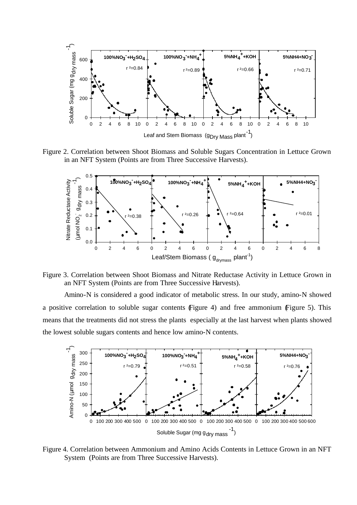

Figure 2. Correlation between Shoot Biomass and Soluble Sugars Concentration in Lettuce Grown in an NFT System (Points are from Three Successive Harvests).



Figure 3. Correlation between Shoot Biomass and Nitrate Reductase Activity in Lettuce Grown in an NFT System (Points are from Three Successive Harvests).

Amino-N is considered a good indicator of metabolic stress. In our study, amino-N showed a positive correlation to soluble sugar contents (Figure 4) and free ammonium (Figure 5). This means that the treatments did not stress the plants especially at the last harvest when plants showed the lowest soluble sugars contents and hence low amino-N contents.



Figure 4. Correlation between Ammonium and Amino Acids Contents in Lettuce Grown in an NFT System (Points are from Three Successive Harvests).